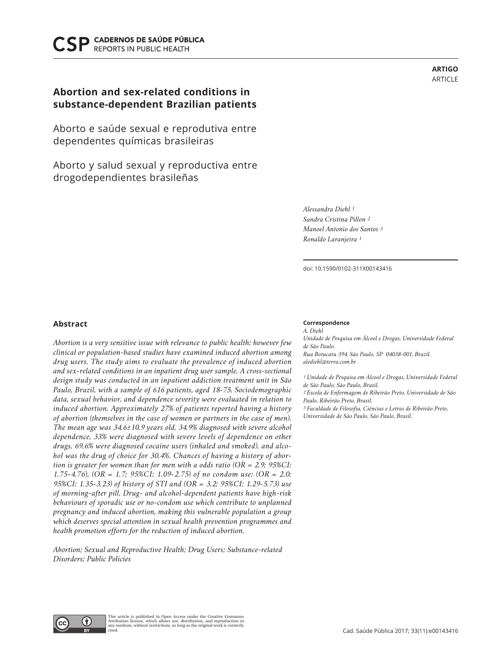# **CADERNOS DE SAÚDE PÚBLICA REPORTS IN PUBLIC HEALTH**

# **Abortion and sex-related conditions in substance-dependent Brazilian patients**

Aborto e saúde sexual e reprodutiva entre dependentes químicas brasileiras

Aborto y salud sexual y reproductiva entre drogodependientes brasileñas

> *Alessandra Diehl 1 Sandra Cristina Pillon 2 Manoel Antonio dos Santos 3 Ronaldo Laranjeira 1*

doi: 10.1590/0102-311X00143416

# **Abstract**

*Abortion is a very sensitive issue with relevance to public health; however few clinical or population-based studies have examined induced abortion among drug users. The study aims to evaluate the prevalence of induced abortion and sex-related conditions in an inpatient drug user sample. A cross-sectional design study was conducted in an inpatient addiction treatment unit in São Paulo, Brazil, with a sample of 616 patients, aged 18-75. Sociodemographic data, sexual behavior, and dependence severity were evaluated in relation to induced abortion. Approximately 27% of patients reported having a history of abortion (themselves in the case of women or partners in the case of men). The mean age was 34.6±10.9 years old, 34.9% diagnosed with severe alcohol dependence, 33% were diagnosed with severe levels of dependence on other drugs, 69.6% were diagnosed cocaine users (inhaled and smoked), and alcohol was the drug of choice for 30.4%. Chances of having a history of abortion is greater for women than for men with a odds ratio (OR = 2.9; 95%CI: 1.75-4.76), (OR = 1.7; 95%CI: 1.09-2.75) of no condom use; (OR = 2.0; 95%CI: 1.35-3.23) of history of STI and (OR = 3.2; 95%CI: 1.29-5.73) use of morning-after pill. Drug- and alcohol-dependent patients have high-risk behaviours of sporadic use or no-condom use which contribute to unplanned pregnancy and induced abortion, making this vulnerable population a group which deserves special attention in sexual health prevention programmes and health promotion efforts for the reduction of induced abortion.* 

*Abortion; Sexual and Reproductive Health; Drug Users; Substance-related Disorders; Public Policies* 

**Correspondence** *A. Diehl*

*Unidade de Pesquisa em Álcool e Drogas, Universidade Federal de São Paulo. Rua Botucatu 394, São Paulo, SP 04038-001, Brazil. alediehl@terra.com.br*

**ARTIGO** ARTICLE

*1 Unidade de Pesquisa em Álcool e Drogas, Universidade Federal de São Paulo, São Paulo, Brasil. 2 Escola de Enfermagem de Ribeirão Preto, Universidade de São Paulo, Ribeirão Preto, Brasil. 3 Faculdade de Filosofia, Ciências e Letras de Ribeirão Preto,* 

*Universidade de São Paulo, São Paulo, Brasil.*

This article is published in Open Access under the Creative Commons Œ Attribution license, which allows use, distribution, and reproduction in any medium, without restrictions, as long as the original work is correctly cited.

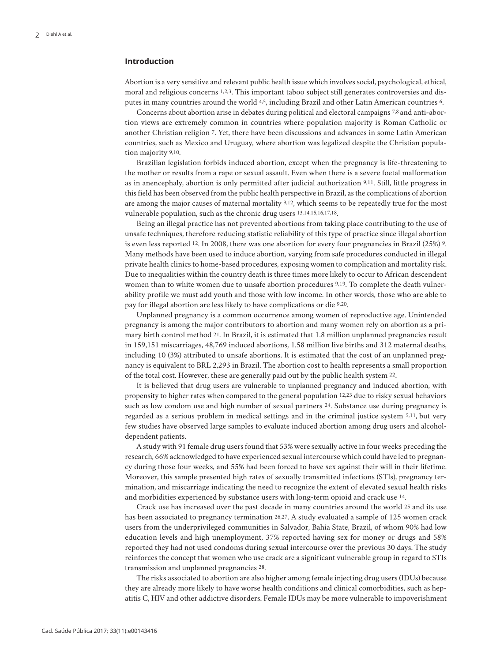# **Introduction**

Abortion is a very sensitive and relevant public health issue which involves social, psychological, ethical, moral and religious concerns 1,2,3. This important taboo subject still generates controversies and disputes in many countries around the world 4,5, including Brazil and other Latin American countries 6.

Concerns about abortion arise in debates during political and electoral campaigns 7,8 and anti-abortion views are extremely common in countries where population majority is Roman Catholic or another Christian religion 7. Yet, there have been discussions and advances in some Latin American countries, such as Mexico and Uruguay, where abortion was legalized despite the Christian population majority 9,10.

Brazilian legislation forbids induced abortion, except when the pregnancy is life-threatening to the mother or results from a rape or sexual assault. Even when there is a severe foetal malformation as in anencephaly, abortion is only permitted after judicial authorization 9,11. Still, little progress in this field has been observed from the public health perspective in Brazil, as the complications of abortion are among the major causes of maternal mortality 9,12, which seems to be repeatedly true for the most vulnerable population, such as the chronic drug users 13,14,15,16,17,18.

Being an illegal practice has not prevented abortions from taking place contributing to the use of unsafe techniques, therefore reducing statistic reliability of this type of practice since illegal abortion is even less reported 12. In 2008, there was one abortion for every four pregnancies in Brazil (25%) 9. Many methods have been used to induce abortion, varying from safe procedures conducted in illegal private health clinics to home-based procedures, exposing women to complication and mortality risk. Due to inequalities within the country death is three times more likely to occur to African descendent women than to white women due to unsafe abortion procedures 9,19. To complete the death vulnerability profile we must add youth and those with low income. In other words, those who are able to pay for illegal abortion are less likely to have complications or die 9,20.

Unplanned pregnancy is a common occurrence among women of reproductive age. Unintended pregnancy is among the major contributors to abortion and many women rely on abortion as a primary birth control method 21. In Brazil, it is estimated that 1.8 million unplanned pregnancies result in 159,151 miscarriages, 48,769 induced abortions, 1.58 million live births and 312 maternal deaths, including 10 (3%) attributed to unsafe abortions. It is estimated that the cost of an unplanned pregnancy is equivalent to BRL 2,293 in Brazil. The abortion cost to health represents a small proportion of the total cost. However, these are generally paid out by the public health system 22.

It is believed that drug users are vulnerable to unplanned pregnancy and induced abortion, with propensity to higher rates when compared to the general population 12,23 due to risky sexual behaviors such as low condom use and high number of sexual partners 24. Substance use during pregnancy is regarded as a serious problem in medical settings and in the criminal justice system 5,11, but very few studies have observed large samples to evaluate induced abortion among drug users and alcoholdependent patients.

A study with 91 female drug users found that 53% were sexually active in four weeks preceding the research, 66% acknowledged to have experienced sexual intercourse which could have led to pregnancy during those four weeks, and 55% had been forced to have sex against their will in their lifetime. Moreover, this sample presented high rates of sexually transmitted infections (STIs), pregnancy termination, and miscarriage indicating the need to recognize the extent of elevated sexual health risks and morbidities experienced by substance users with long-term opioid and crack use 14.

Crack use has increased over the past decade in many countries around the world 25 and its use has been associated to pregnancy termination 26,27. A study evaluated a sample of 125 women crack users from the underprivileged communities in Salvador, Bahia State, Brazil, of whom 90% had low education levels and high unemployment, 37% reported having sex for money or drugs and 58% reported they had not used condoms during sexual intercourse over the previous 30 days. The study reinforces the concept that women who use crack are a significant vulnerable group in regard to STIs transmission and unplanned pregnancies 28.

The risks associated to abortion are also higher among female injecting drug users (IDUs) because they are already more likely to have worse health conditions and clinical comorbidities, such as hepatitis C, HIV and other addictive disorders. Female IDUs may be more vulnerable to impoverishment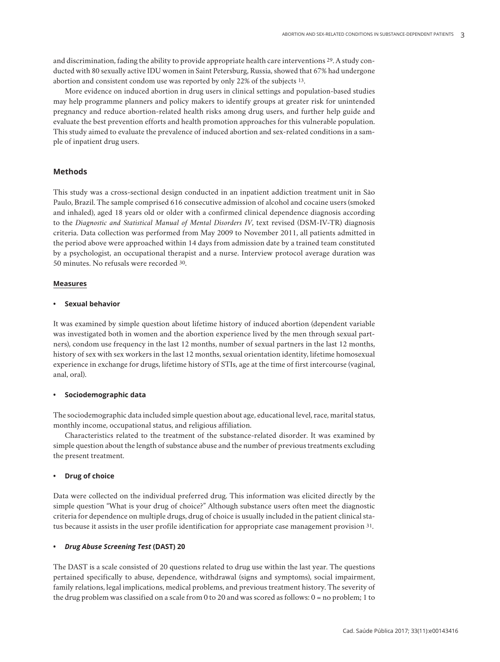and discrimination, fading the ability to provide appropriate health care interventions 29. A study conducted with 80 sexually active IDU women in Saint Petersburg, Russia, showed that 67% had undergone abortion and consistent condom use was reported by only 22% of the subjects 13.

More evidence on induced abortion in drug users in clinical settings and population-based studies may help programme planners and policy makers to identify groups at greater risk for unintended pregnancy and reduce abortion-related health risks among drug users, and further help guide and evaluate the best prevention efforts and health promotion approaches for this vulnerable population. This study aimed to evaluate the prevalence of induced abortion and sex-related conditions in a sample of inpatient drug users.

# **Methods**

This study was a cross-sectional design conducted in an inpatient addiction treatment unit in São Paulo, Brazil. The sample comprised 616 consecutive admission of alcohol and cocaine users (smoked and inhaled), aged 18 years old or older with a confirmed clinical dependence diagnosis according to the *Diagnostic and Statistical Manual of Mental Disorders IV*, text revised (DSM-IV-TR) diagnosis criteria. Data collection was performed from May 2009 to November 2011, all patients admitted in the period above were approached within 14 days from admission date by a trained team constituted by a psychologist, an occupational therapist and a nurse. Interview protocol average duration was 50 minutes. No refusals were recorded 30.

# **Measures**

# **Sexual behavior**

It was examined by simple question about lifetime history of induced abortion (dependent variable was investigated both in women and the abortion experience lived by the men through sexual partners), condom use frequency in the last 12 months, number of sexual partners in the last 12 months, history of sex with sex workers in the last 12 months, sexual orientation identity, lifetime homosexual experience in exchange for drugs, lifetime history of STIs, age at the time of first intercourse (vaginal, anal, oral).

# **• Sociodemographic data**

The sociodemographic data included simple question about age, educational level, race, marital status, monthly income, occupational status, and religious affiliation.

Characteristics related to the treatment of the substance-related disorder. It was examined by simple question about the length of substance abuse and the number of previous treatments excluding the present treatment.

# **Drug** of choice

Data were collected on the individual preferred drug. This information was elicited directly by the simple question "What is your drug of choice?" Although substance users often meet the diagnostic criteria for dependence on multiple drugs, drug of choice is usually included in the patient clinical status because it assists in the user profile identification for appropriate case management provision 31.

# **•**  *Drug Abuse Screening Test* **(DAST) 20**

The DAST is a scale consisted of 20 questions related to drug use within the last year. The questions pertained specifically to abuse, dependence, withdrawal (signs and symptoms), social impairment, family relations, legal implications, medical problems, and previous treatment history. The severity of the drug problem was classified on a scale from 0 to 20 and was scored as follows: 0 = no problem; 1 to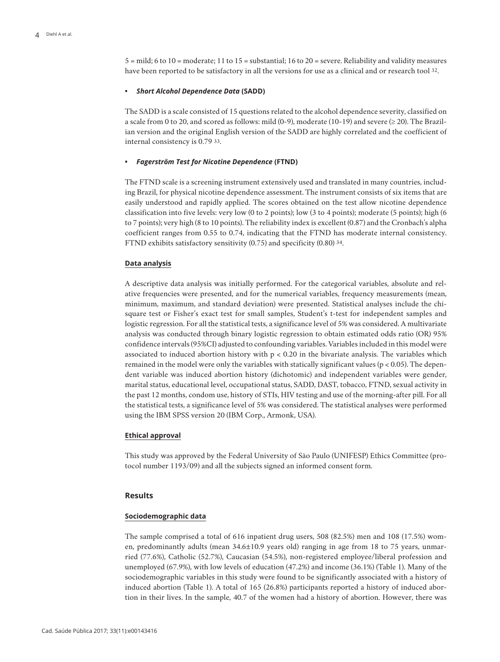5 = mild; 6 to 10 = moderate; 11 to 15 = substantial; 16 to 20 = severe. Reliability and validity measures have been reported to be satisfactory in all the versions for use as a clinical and or research tool 32.

#### *Short Alcohol Dependence Data* **(SADD)**

The SADD is a scale consisted of 15 questions related to the alcohol dependence severity, classified on a scale from 0 to 20, and scored as follows: mild (0-9), moderate (10-19) and severe ( $\geq$  20). The Brazilian version and the original English version of the SADD are highly correlated and the coefficient of internal consistency is 0.79 33.

#### **•**  *Fagerström Test for Nicotine Dependence* **(FTND)**

The FTND scale is a screening instrument extensively used and translated in many countries, including Brazil, for physical nicotine dependence assessment. The instrument consists of six items that are easily understood and rapidly applied. The scores obtained on the test allow nicotine dependence classification into five levels: very low (0 to 2 points); low (3 to 4 points); moderate (5 points); high (6 to 7 points); very high (8 to 10 points). The reliability index is excellent (0.87) and the Cronbach's alpha coefficient ranges from 0.55 to 0.74, indicating that the FTND has moderate internal consistency. FTND exhibits satisfactory sensitivity (0.75) and specificity (0.80) 34.

#### **Data analysis**

A descriptive data analysis was initially performed. For the categorical variables, absolute and relative frequencies were presented, and for the numerical variables, frequency measurements (mean, minimum, maximum, and standard deviation) were presented. Statistical analyses include the chisquare test or Fisher's exact test for small samples, Student's t-test for independent samples and logistic regression. For all the statistical tests, a significance level of 5% was considered. A multivariate analysis was conducted through binary logistic regression to obtain estimated odds ratio (OR) 95% confidence intervals (95%CI) adjusted to confounding variables. Variables included in this model were associated to induced abortion history with  $p < 0.20$  in the bivariate analysis. The variables which remained in the model were only the variables with statically significant values ( $p < 0.05$ ). The dependent variable was induced abortion history (dichotomic) and independent variables were gender, marital status, educational level, occupational status, SADD, DAST, tobacco, FTND, sexual activity in the past 12 months, condom use, history of STIs, HIV testing and use of the morning-after pill. For all the statistical tests, a significance level of 5% was considered. The statistical analyses were performed using the IBM SPSS version 20 (IBM Corp., Armonk, USA).

## **Ethical approval**

This study was approved by the Federal University of São Paulo (UNIFESP) Ethics Committee (protocol number 1193/09) and all the subjects signed an informed consent form.

# **Results**

### **Sociodemographic data**

The sample comprised a total of 616 inpatient drug users, 508 (82.5%) men and 108 (17.5%) women, predominantly adults (mean 34.6±10.9 years old) ranging in age from 18 to 75 years, unmarried (77.6%), Catholic (52.7%), Caucasian (54.5%), non-registered employee/liberal profession and unemployed (67.9%), with low levels of education (47.2%) and income (36.1%) (Table 1). Many of the sociodemographic variables in this study were found to be significantly associated with a history of induced abortion (Table 1). A total of 165 (26.8%) participants reported a history of induced abortion in their lives. In the sample, 40.7 of the women had a history of abortion. However, there was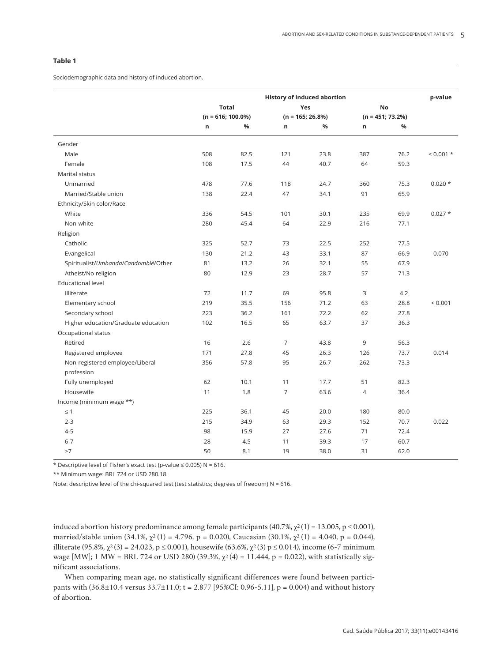## **Table 1**

Sociodemographic data and history of induced abortion.

|                                               | <b>History of induced abortion</b> |      |                    |      |                    |      | p-value   |
|-----------------------------------------------|------------------------------------|------|--------------------|------|--------------------|------|-----------|
|                                               | <b>Total</b>                       |      |                    | Yes  |                    | No   |           |
|                                               | $(n = 616; 100.0\%)$               |      | $(n = 165; 26.8%)$ |      | $(n = 451; 73.2%)$ |      |           |
|                                               | n                                  | %    | n                  | %    | n                  | %    |           |
| Gender                                        |                                    |      |                    |      |                    |      |           |
| Male                                          | 508                                | 82.5 | 121                | 23.8 | 387                | 76.2 | $0.001 *$ |
| Female                                        | 108                                | 17.5 | 44                 | 40.7 | 64                 | 59.3 |           |
| Marital status                                |                                    |      |                    |      |                    |      |           |
| Unmarried                                     | 478                                | 77.6 | 118                | 24.7 | 360                | 75.3 | $0.020*$  |
| Married/Stable union                          | 138                                | 22.4 | 47                 | 34.1 | 91                 | 65.9 |           |
| Ethnicity/Skin color/Race                     |                                    |      |                    |      |                    |      |           |
| White                                         | 336                                | 54.5 | 101                | 30.1 | 235                | 69.9 | $0.027 *$ |
| Non-white                                     | 280                                | 45.4 | 64                 | 22.9 | 216                | 77.1 |           |
| Religion                                      |                                    |      |                    |      |                    |      |           |
| Catholic                                      | 325                                | 52.7 | 73                 | 22.5 | 252                | 77.5 |           |
| Evangelical                                   | 130                                | 21.2 | 43                 | 33.1 | 87                 | 66.9 | 0.070     |
| Spiritualist/Umbanda/Candomblé/Other          | 81                                 | 13.2 | 26                 | 32.1 | 55                 | 67.9 |           |
| Atheist/No religion                           | 80                                 | 12.9 | 23                 | 28.7 | 57                 | 71.3 |           |
| <b>Educational level</b>                      |                                    |      |                    |      |                    |      |           |
| Illiterate                                    | 72                                 | 11.7 | 69                 | 95.8 | 3                  | 4.2  |           |
| Elementary school                             | 219                                | 35.5 | 156                | 71.2 | 63                 | 28.8 | < 0.001   |
| Secondary school                              | 223                                | 36.2 | 161                | 72.2 | 62                 | 27.8 |           |
| Higher education/Graduate education           | 102                                | 16.5 | 65                 | 63.7 | 37                 | 36.3 |           |
| Occupational status                           |                                    |      |                    |      |                    |      |           |
| Retired                                       | 16                                 | 2.6  | $\overline{7}$     | 43.8 | 9                  | 56.3 |           |
| Registered employee                           | 171                                | 27.8 | 45                 | 26.3 | 126                | 73.7 | 0.014     |
| Non-registered employee/Liberal<br>profession | 356                                | 57.8 | 95                 | 26.7 | 262                | 73.3 |           |
| Fully unemployed                              | 62                                 | 10.1 | 11                 | 17.7 | 51                 | 82.3 |           |
| Housewife                                     | 11                                 | 1.8  | $\overline{7}$     | 63.6 | $\overline{4}$     | 36.4 |           |
| Income (minimum wage **)                      |                                    |      |                    |      |                    |      |           |
| $\leq$ 1                                      | 225                                | 36.1 | 45                 | 20.0 | 180                | 80.0 |           |
| $2 - 3$                                       | 215                                | 34.9 | 63                 | 29.3 | 152                | 70.7 | 0.022     |
| $4 - 5$                                       | 98                                 | 15.9 | 27                 | 27.6 | 71                 | 72.4 |           |
| $6 - 7$                                       | 28                                 | 4.5  | 11                 | 39.3 | 17                 | 60.7 |           |
| $\geq 7$                                      | 50                                 | 8.1  | 19                 | 38.0 | 31                 | 62.0 |           |

\* Descriptive level of Fisher's exact test (p-value  $\leq$  0.005) N = 616.

\*\* Minimum wage: BRL 724 or USD 280.18.

Note: descriptive level of the chi-squared test (test statistics; degrees of freedom) N = 616.

induced abortion history predominance among female participants  $(40.7\%, \chi^2(1) = 13.005, p \le 0.001)$ , married/stable union  $(34.1\%, \chi^2(1) = 4.796, p = 0.020)$ , Caucasian  $(30.1\%, \chi^2(1) = 4.040, p = 0.044)$ , illiterate  $(95.8\%, \chi^2(3) = 24.023, p \le 0.001)$ , housewife  $(63.6\%, \chi^2(3) = 0.014)$ , income  $(6-7 \text{ minimum})$ wage [MW]; 1 MW = BRL 724 or USD 280) (39.3%,  $χ²(4) = 11.444$ , p = 0.022), with statistically significant associations.

When comparing mean age, no statistically significant differences were found between participants with  $(36.8\pm10.4 \text{ versus } 33.7\pm11.0; t = 2.877 [95\% CI: 0.96-5.11], p = 0.004)$  and without history of abortion.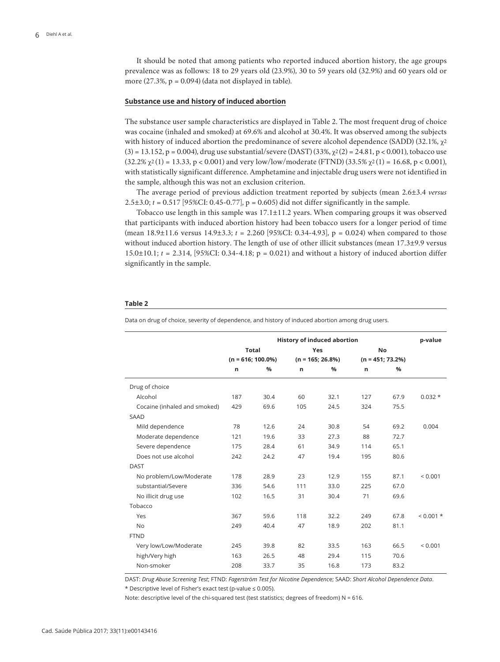It should be noted that among patients who reported induced abortion history, the age groups prevalence was as follows: 18 to 29 years old (23.9%), 30 to 59 years old (32.9%) and 60 years old or more  $(27.3\%, p = 0.094)$  (data not displayed in table).

#### **Substance use and history of induced abortion**

The substance user sample characteristics are displayed in Table 2. The most frequent drug of choice was cocaine (inhaled and smoked) at 69.6% and alcohol at 30.4%. It was observed among the subjects with history of induced abortion the predominance of severe alcohol dependence (SADD) (32.1%,  $\chi^2$  $(3) = 13.152$ , p = 0.004), drug use substantial/severe (DAST)  $(33\%, \chi^2(2) = 24.81$ , p < 0.001), tobacco use  $(32.2\% \chi^2(1) = 13.33, p < 0.001)$  and very low/low/moderate (FTND)  $(33.5\% \chi^2(1) = 16.68, p < 0.001)$ , with statistically significant difference. Amphetamine and injectable drug users were not identified in the sample, although this was not an exclusion criterion.

The average period of previous addiction treatment reported by subjects (mean 2.6±3.4 *versus* 2.5 $\pm$ 3.0; *t* = 0.517 [95%CI: 0.45-0.77],  $p = 0.605$  did not differ significantly in the sample.

Tobacco use length in this sample was 17.1±11.2 years. When comparing groups it was observed that participants with induced abortion history had been tobacco users for a longer period of time (mean 18.9±11.6 versus 14.9±3.3; *t* = 2.260 [95%CI: 0.34-4.93], p = 0.024) when compared to those without induced abortion history. The length of use of other illicit substances (mean 17.3±9.9 versus 15.0±10.1; *t* = 2.314, [95%CI: 0.34-4.18; p = 0.021) and without a history of induced abortion differ significantly in the sample.

#### **Table 2**

Data on drug of choice, severity of dependence, and history of induced abortion among drug users.

|                              | <b>History of induced abortion</b>   |               |                    |            |                    | p-value       |              |
|------------------------------|--------------------------------------|---------------|--------------------|------------|--------------------|---------------|--------------|
|                              | <b>Total</b><br>$(n = 616; 100.0\%)$ |               |                    | <b>Yes</b> |                    | <b>No</b>     |              |
|                              |                                      |               | $(n = 165; 26.8%)$ |            | $(n = 451; 73.2%)$ |               |              |
|                              | n                                    | $\frac{9}{6}$ | n                  | %          | n                  | $\frac{9}{6}$ |              |
| Drug of choice               |                                      |               |                    |            |                    |               |              |
| Alcohol                      | 187                                  | 30.4          | 60                 | 32.1       | 127                | 67.9          | $0.032*$     |
| Cocaine (inhaled and smoked) | 429                                  | 69.6          | 105                | 24.5       | 324                | 75.5          |              |
| <b>SAAD</b>                  |                                      |               |                    |            |                    |               |              |
| Mild dependence              | 78                                   | 12.6          | 24                 | 30.8       | 54                 | 69.2          | 0.004        |
| Moderate dependence          | 121                                  | 19.6          | 33                 | 27.3       | 88                 | 72.7          |              |
| Severe dependence            | 175                                  | 28.4          | 61                 | 34.9       | 114                | 65.1          |              |
| Does not use alcohol         | 242                                  | 24.2          | 47                 | 19.4       | 195                | 80.6          |              |
| <b>DAST</b>                  |                                      |               |                    |            |                    |               |              |
| No problem/Low/Moderate      | 178                                  | 28.9          | 23                 | 12.9       | 155                | 87.1          | ${}_{0.001}$ |
| substantial/Severe           | 336                                  | 54.6          | 111                | 33.0       | 225                | 67.0          |              |
| No illicit drug use          | 102                                  | 16.5          | 31                 | 30.4       | 71                 | 69.6          |              |
| Tobacco                      |                                      |               |                    |            |                    |               |              |
| Yes                          | 367                                  | 59.6          | 118                | 32.2       | 249                | 67.8          | $< 0.001$ *  |
| <b>No</b>                    | 249                                  | 40.4          | 47                 | 18.9       | 202                | 81.1          |              |
| <b>FTND</b>                  |                                      |               |                    |            |                    |               |              |
| Very low/Low/Moderate        | 245                                  | 39.8          | 82                 | 33.5       | 163                | 66.5          | ${}_{0.001}$ |
| high/Very high               | 163                                  | 26.5          | 48                 | 29.4       | 115                | 70.6          |              |
| Non-smoker                   | 208                                  | 33.7          | 35                 | 16.8       | 173                | 83.2          |              |

DAST: *Drug Abuse Screening Test*; FTND: *Fagerström Test for Nicotine Dependenc*e; SAAD: *Short Alcohol Dependence Data*.

\* Descriptive level of Fisher's exact test (p-value ≤ 0.005).

Note: descriptive level of the chi-squared test (test statistics; degrees of freedom) N = 616.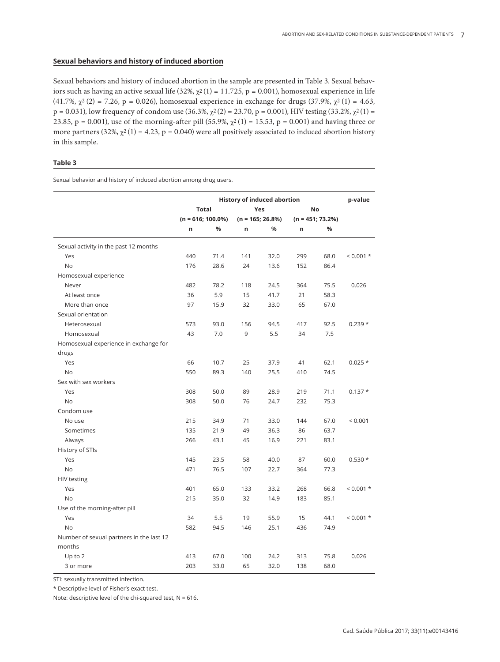# **Sexual behaviors and history of induced abortion**

Sexual behaviors and history of induced abortion in the sample are presented in Table 3. Sexual behaviors such as having an active sexual life (32%,  $\chi^2(1) = 11.725$ , p = 0.001), homosexual experience in life (41.7%,  $\chi^2$  (2) = 7.26, p = 0.026), homosexual experience in exchange for drugs (37.9%,  $\chi^2$  (1) = 4.63,  $p = 0.031$ ), low frequency of condom use  $(36.3\%, \chi^2(2) = 23.70, p = 0.001)$ , HIV testing  $(33.2\%, \chi^2(1) =$ 23.85, p = 0.001), use of the morning-after pill (55.9%,  $\chi^2(1)$  = 15.53, p = 0.001) and having three or more partners (32%,  $\chi^2(1) = 4.23$ , p = 0.040) were all positively associated to induced abortion history in this sample.

# **Table 3**

Sexual behavior and history of induced abortion among drug users.

|                                          | <b>History of induced abortion</b> |              |                     |      |                     | p-value   |             |
|------------------------------------------|------------------------------------|--------------|---------------------|------|---------------------|-----------|-------------|
|                                          |                                    | <b>Total</b> |                     | Yes  |                     | <b>No</b> |             |
|                                          | $(n = 616; 100.0\%)$               |              | $(n = 165; 26.8\%)$ |      | $(n = 451; 73.2\%)$ |           |             |
|                                          | n                                  | %            | n                   | %    | n                   | %         |             |
| Sexual activity in the past 12 months    |                                    |              |                     |      |                     |           |             |
| Yes                                      | 440                                | 71.4         | 141                 | 32.0 | 299                 | 68.0      | $0.001 *$   |
| <b>No</b>                                | 176                                | 28.6         | 24                  | 13.6 | 152                 | 86.4      |             |
| Homosexual experience                    |                                    |              |                     |      |                     |           |             |
| Never                                    | 482                                | 78.2         | 118                 | 24.5 | 364                 | 75.5      | 0.026       |
| At least once                            | 36                                 | 5.9          | 15                  | 41.7 | 21                  | 58.3      |             |
| More than once                           | 97                                 | 15.9         | 32                  | 33.0 | 65                  | 67.0      |             |
| Sexual orientation                       |                                    |              |                     |      |                     |           |             |
| Heterosexual                             | 573                                | 93.0         | 156                 | 94.5 | 417                 | 92.5      | $0.239*$    |
| Homosexual                               | 43                                 | 7.0          | 9                   | 5.5  | 34                  | 7.5       |             |
| Homosexual experience in exchange for    |                                    |              |                     |      |                     |           |             |
| drugs                                    |                                    |              |                     |      |                     |           |             |
| Yes                                      | 66                                 | 10.7         | 25                  | 37.9 | 41                  | 62.1      | $0.025*$    |
| No                                       | 550                                | 89.3         | 140                 | 25.5 | 410                 | 74.5      |             |
| Sex with sex workers                     |                                    |              |                     |      |                     |           |             |
| Yes                                      | 308                                | 50.0         | 89                  | 28.9 | 219                 | 71.1      | $0.137*$    |
| <b>No</b>                                | 308                                | 50.0         | 76                  | 24.7 | 232                 | 75.3      |             |
| Condom use                               |                                    |              |                     |      |                     |           |             |
| No use                                   | 215                                | 34.9         | 71                  | 33.0 | 144                 | 67.0      | < 0.001     |
| Sometimes                                | 135                                | 21.9         | 49                  | 36.3 | 86                  | 63.7      |             |
| Always                                   | 266                                | 43.1         | 45                  | 16.9 | 221                 | 83.1      |             |
| History of STIs                          |                                    |              |                     |      |                     |           |             |
| Yes                                      | 145                                | 23.5         | 58                  | 40.0 | 87                  | 60.0      | $0.530*$    |
| No                                       | 471                                | 76.5         | 107                 | 22.7 | 364                 | 77.3      |             |
| <b>HIV testing</b>                       |                                    |              |                     |      |                     |           |             |
| Yes                                      | 401                                | 65.0         | 133                 | 33.2 | 268                 | 66.8      | $< 0.001$ * |
| <b>No</b>                                | 215                                | 35.0         | 32                  | 14.9 | 183                 | 85.1      |             |
| Use of the morning-after pill            |                                    |              |                     |      |                     |           |             |
| Yes                                      | 34                                 | 5.5          | 19                  | 55.9 | 15                  | 44.1      | $0.001 *$   |
| <b>No</b>                                | 582                                | 94.5         | 146                 | 25.1 | 436                 | 74.9      |             |
| Number of sexual partners in the last 12 |                                    |              |                     |      |                     |           |             |
| months                                   |                                    |              |                     |      |                     |           |             |
| Up to 2                                  | 413                                | 67.0         | 100                 | 24.2 | 313                 | 75.8      | 0.026       |
| 3 or more                                | 203                                | 33.0         | 65                  | 32.0 | 138                 | 68.0      |             |

STI: sexually transmitted infection.

\* Descriptive level of Fisher's exact test.

Note: descriptive level of the chi-squared test,  $N = 616$ .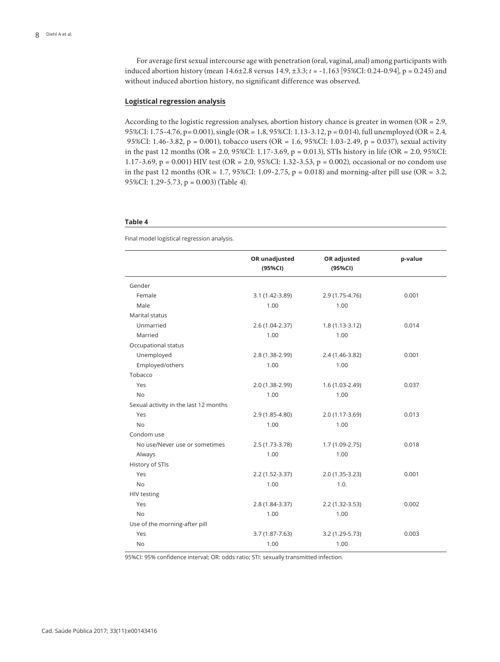For average first sexual intercourse age with penetration (oral, vaginal, anal) among participants with induced abortion history (mean 14.6±2.8 versus 14.9, ±3.3; *t* = -1.163 [95%CI: 0.24-0.94], p = 0.245) and without induced abortion history, no significant difference was observed.

#### **Logistical regression analysis**

According to the logistic regression analyses, abortion history chance is greater in women (OR = 2.9, 95%CI: 1.75-4.76, p= 0.001), single (OR = 1.8, 95%CI: 1.13-3.12, p = 0.014), full unemployed (OR = 2.4, 95%CI: 1.46-3.82, p = 0.001), tobacco users (OR = 1.6, 95%CI: 1.03-2.49, p = 0.037), sexual activity in the past 12 months (OR = 2.0, 95%CI: 1.17-3.69, p = 0.013), STIs history in life (OR = 2.0, 95%CI: 1.17-3.69, p = 0.001) HIV test (OR = 2.0, 95%CI: 1.32-3.53, p = 0.002), occasional or no condom use in the past 12 months (OR =  $1.7$ , 95%CI: 1.09-2.75, p = 0.018) and morning-after pill use (OR = 3.2, 95%CI: 1.29-5.73, p = 0.003) (Table 4).

#### **Table 4**

Final model logistical regression analysis.

|                                       | OR unadjusted<br>(95%CI) | OR adjusted<br>(95%CI) | p-value |
|---------------------------------------|--------------------------|------------------------|---------|
|                                       |                          |                        |         |
| Gender                                |                          |                        |         |
| Female                                | $3.1(1.42 - 3.89)$       | 2.9 (1.75-4.76)        | 0.001   |
| Male                                  | 1.00                     | 1.00                   |         |
| Marital status                        |                          |                        |         |
| Unmarried                             | 2.6 (1.04-2.37)          | $1.8(1.13-3.12)$       | 0.014   |
| Married                               | 1.00                     | 1.00                   |         |
| Occupational status                   |                          |                        |         |
| Unemployed                            | 2.8 (1.38-2.99)          | 2.4 (1.46-3.82)        | 0.001   |
| Employed/others                       | 1.00                     | 1.00                   |         |
| Tobacco                               |                          |                        |         |
| Yes                                   | 2.0 (1.38-2.99)          | 1.6 (1.03-2.49)        | 0.037   |
| <b>No</b>                             | 1.00                     | 1.00                   |         |
| Sexual activity in the last 12 months |                          |                        |         |
| Yes                                   | 2.9 (1.85-4.80)          | 2.0 (1.17-3.69)        | 0.013   |
| <b>No</b>                             | 1.00                     | 1.00                   |         |
| Condom use                            |                          |                        |         |
| No use/Never use or sometimes         | 2.5 (1.73-3.78)          | $1.7(1.09-2.75)$       | 0.018   |
| Always                                | 1.00                     | 1.00                   |         |
| History of STIs                       |                          |                        |         |
| Yes                                   | $2.2(1.52-3.37)$         | 2.0 (1.35-3.23)        | 0.001   |
| <b>No</b>                             | 1.00                     | 1.0.                   |         |
| <b>HIV testing</b>                    |                          |                        |         |
| Yes                                   | 2.8 (1.84-3.37)          | $2.2(1.32 - 3.53)$     | 0.002   |
| <b>No</b>                             | 1.00                     | 1.00                   |         |
| Use of the morning-after pill         |                          |                        |         |
| Yes                                   | $3.7(1.87 - 7.63)$       | 3.2 (1.29-5.73)        | 0.003   |
| <b>No</b>                             | 1.00                     | 1.00                   |         |

95%CI: 95% confidence interval; OR: odds ratio; STI: sexually transmitted infection.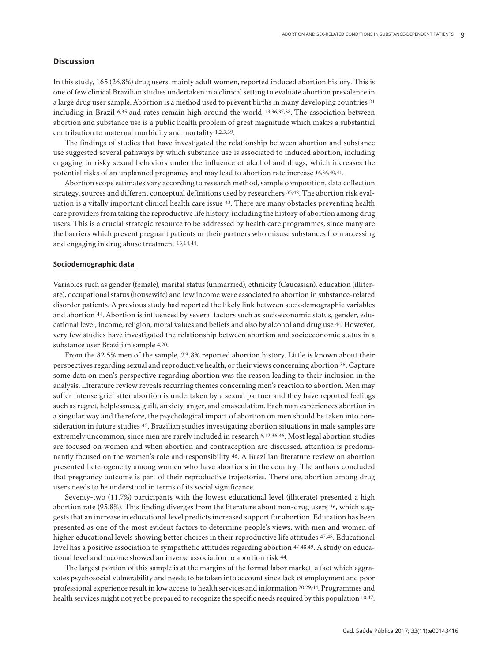# **Discussion**

In this study, 165 (26.8%) drug users, mainly adult women, reported induced abortion history. This is one of few clinical Brazilian studies undertaken in a clinical setting to evaluate abortion prevalence in a large drug user sample. Abortion is a method used to prevent births in many developing countries 21 including in Brazil 6,35 and rates remain high around the world 13,36,37,38. The association between abortion and substance use is a public health problem of great magnitude which makes a substantial contribution to maternal morbidity and mortality 1,2,3,39.

The findings of studies that have investigated the relationship between abortion and substance use suggested several pathways by which substance use is associated to induced abortion, including engaging in risky sexual behaviors under the influence of alcohol and drugs, which increases the potential risks of an unplanned pregnancy and may lead to abortion rate increase 16,36,40,41.

Abortion scope estimates vary according to research method, sample composition, data collection strategy, sources and different conceptual definitions used by researchers 35,42. The abortion risk evaluation is a vitally important clinical health care issue 43. There are many obstacles preventing health care providers from taking the reproductive life history, including the history of abortion among drug users. This is a crucial strategic resource to be addressed by health care programmes, since many are the barriers which prevent pregnant patients or their partners who misuse substances from accessing and engaging in drug abuse treatment 13,14,44.

# **Sociodemographic data**

Variables such as gender (female), marital status (unmarried), ethnicity (Caucasian), education (illiterate), occupational status (housewife) and low income were associated to abortion in substance-related disorder patients. A previous study had reported the likely link between sociodemographic variables and abortion 44. Abortion is influenced by several factors such as socioeconomic status, gender, educational level, income, religion, moral values and beliefs and also by alcohol and drug use 44. However, very few studies have investigated the relationship between abortion and socioeconomic status in a substance user Brazilian sample 4,20.

From the 82.5% men of the sample, 23.8% reported abortion history. Little is known about their perspectives regarding sexual and reproductive health, or their views concerning abortion 36. Capture some data on men's perspective regarding abortion was the reason leading to their inclusion in the analysis. Literature review reveals recurring themes concerning men's reaction to abortion. Men may suffer intense grief after abortion is undertaken by a sexual partner and they have reported feelings such as regret, helplessness, guilt, anxiety, anger, and emasculation. Each man experiences abortion in a singular way and therefore, the psychological impact of abortion on men should be taken into consideration in future studies 45. Brazilian studies investigating abortion situations in male samples are extremely uncommon, since men are rarely included in research 6,12,36,46. Most legal abortion studies are focused on women and when abortion and contraception are discussed, attention is predominantly focused on the women's role and responsibility 46. A Brazilian literature review on abortion presented heterogeneity among women who have abortions in the country. The authors concluded that pregnancy outcome is part of their reproductive trajectories. Therefore, abortion among drug users needs to be understood in terms of its social significance.

Seventy-two (11.7%) participants with the lowest educational level (illiterate) presented a high abortion rate (95.8%). This finding diverges from the literature about non-drug users 36, which suggests that an increase in educational level predicts increased support for abortion. Education has been presented as one of the most evident factors to determine people's views, with men and women of higher educational levels showing better choices in their reproductive life attitudes 47,48. Educational level has a positive association to sympathetic attitudes regarding abortion 47,48,49. A study on educational level and income showed an inverse association to abortion risk 44.

The largest portion of this sample is at the margins of the formal labor market, a fact which aggravates psychosocial vulnerability and needs to be taken into account since lack of employment and poor professional experience result in low access to health services and information 20,29,44. Programmes and health services might not yet be prepared to recognize the specific needs required by this population 10,47.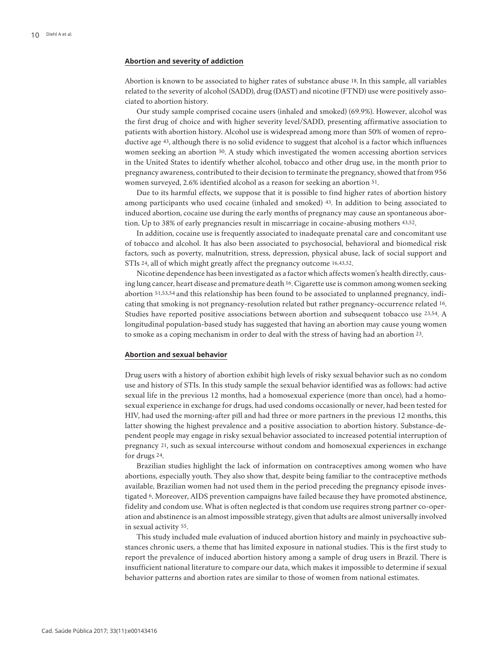#### **Abortion and severity of addiction**

Abortion is known to be associated to higher rates of substance abuse 18. In this sample, all variables related to the severity of alcohol (SADD), drug (DAST) and nicotine (FTND) use were positively associated to abortion history.

Our study sample comprised cocaine users (inhaled and smoked) (69.9%). However, alcohol was the first drug of choice and with higher severity level/SADD, presenting affirmative association to patients with abortion history. Alcohol use is widespread among more than 50% of women of reproductive age 43, although there is no solid evidence to suggest that alcohol is a factor which influences women seeking an abortion 50. A study which investigated the women accessing abortion services in the United States to identify whether alcohol, tobacco and other drug use, in the month prior to pregnancy awareness, contributed to their decision to terminate the pregnancy, showed that from 956 women surveyed, 2.6% identified alcohol as a reason for seeking an abortion 51.

Due to its harmful effects, we suppose that it is possible to find higher rates of abortion history among participants who used cocaine (inhaled and smoked) 43. In addition to being associated to induced abortion, cocaine use during the early months of pregnancy may cause an spontaneous abortion. Up to 38% of early pregnancies result in miscarriage in cocaine-abusing mothers 43,52.

In addition, cocaine use is frequently associated to inadequate prenatal care and concomitant use of tobacco and alcohol. It has also been associated to psychosocial, behavioral and biomedical risk factors, such as poverty, malnutrition, stress, depression, physical abuse, lack of social support and STIs 24, all of which might greatly affect the pregnancy outcome 16,43,52.

Nicotine dependence has been investigated as a factor which affects women's health directly, causing lung cancer, heart disease and premature death 16. Cigarette use is common among women seeking abortion 51,53,54 and this relationship has been found to be associated to unplanned pregnancy, indicating that smoking is not pregnancy-resolution related but rather pregnancy-occurrence related 16. Studies have reported positive associations between abortion and subsequent tobacco use 23,54. A longitudinal population-based study has suggested that having an abortion may cause young women to smoke as a coping mechanism in order to deal with the stress of having had an abortion 23.

#### **Abortion and sexual behavior**

Drug users with a history of abortion exhibit high levels of risky sexual behavior such as no condom use and history of STIs. In this study sample the sexual behavior identified was as follows: had active sexual life in the previous 12 months, had a homosexual experience (more than once), had a homosexual experience in exchange for drugs, had used condoms occasionally or never, had been tested for HIV, had used the morning-after pill and had three or more partners in the previous 12 months, this latter showing the highest prevalence and a positive association to abortion history. Substance-dependent people may engage in risky sexual behavior associated to increased potential interruption of pregnancy 21, such as sexual intercourse without condom and homosexual experiences in exchange for drugs 24.

Brazilian studies highlight the lack of information on contraceptives among women who have abortions, especially youth. They also show that, despite being familiar to the contraceptive methods available, Brazilian women had not used them in the period preceding the pregnancy episode investigated 6. Moreover, AIDS prevention campaigns have failed because they have promoted abstinence, fidelity and condom use. What is often neglected is that condom use requires strong partner co-operation and abstinence is an almost impossible strategy, given that adults are almost universally involved in sexual activity 55.

This study included male evaluation of induced abortion history and mainly in psychoactive substances chronic users, a theme that has limited exposure in national studies. This is the first study to report the prevalence of induced abortion history among a sample of drug users in Brazil. There is insufficient national literature to compare our data, which makes it impossible to determine if sexual behavior patterns and abortion rates are similar to those of women from national estimates.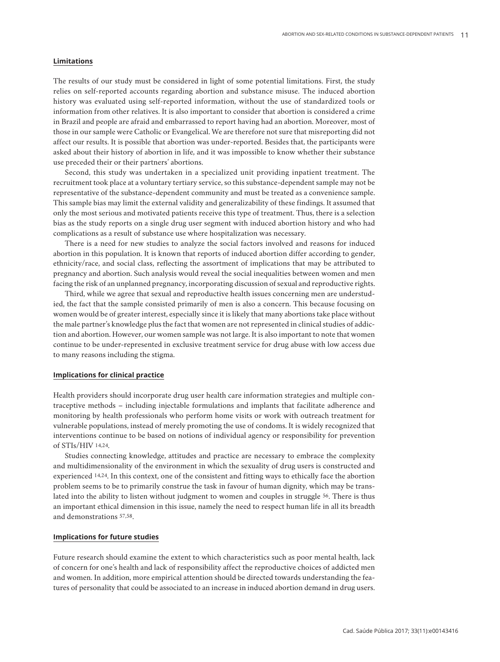#### **Limitations**

The results of our study must be considered in light of some potential limitations. First, the study relies on self-reported accounts regarding abortion and substance misuse. The induced abortion history was evaluated using self-reported information, without the use of standardized tools or information from other relatives. It is also important to consider that abortion is considered a crime in Brazil and people are afraid and embarrassed to report having had an abortion. Moreover, most of those in our sample were Catholic or Evangelical. We are therefore not sure that misreporting did not affect our results. It is possible that abortion was under-reported. Besides that, the participants were asked about their history of abortion in life, and it was impossible to know whether their substance use preceded their or their partners' abortions.

Second, this study was undertaken in a specialized unit providing inpatient treatment. The recruitment took place at a voluntary tertiary service, so this substance-dependent sample may not be representative of the substance-dependent community and must be treated as a convenience sample. This sample bias may limit the external validity and generalizability of these findings. It assumed that only the most serious and motivated patients receive this type of treatment. Thus, there is a selection bias as the study reports on a single drug user segment with induced abortion history and who had complications as a result of substance use where hospitalization was necessary.

There is a need for new studies to analyze the social factors involved and reasons for induced abortion in this population. It is known that reports of induced abortion differ according to gender, ethnicity/race, and social class, reflecting the assortment of implications that may be attributed to pregnancy and abortion. Such analysis would reveal the social inequalities between women and men facing the risk of an unplanned pregnancy, incorporating discussion of sexual and reproductive rights.

Third, while we agree that sexual and reproductive health issues concerning men are understudied, the fact that the sample consisted primarily of men is also a concern. This because focusing on women would be of greater interest, especially since it is likely that many abortions take place without the male partner's knowledge plus the fact that women are not represented in clinical studies of addiction and abortion. However, our women sample was not large. It is also important to note that women continue to be under-represented in exclusive treatment service for drug abuse with low access due to many reasons including the stigma.

#### **Implications for clinical practice**

Health providers should incorporate drug user health care information strategies and multiple contraceptive methods – including injectable formulations and implants that facilitate adherence and monitoring by health professionals who perform home visits or work with outreach treatment for vulnerable populations, instead of merely promoting the use of condoms. It is widely recognized that interventions continue to be based on notions of individual agency or responsibility for prevention of STIs/HIV 14,24.

Studies connecting knowledge, attitudes and practice are necessary to embrace the complexity and multidimensionality of the environment in which the sexuality of drug users is constructed and experienced 14,24. In this context, one of the consistent and fitting ways to ethically face the abortion problem seems to be to primarily construe the task in favour of human dignity, which may be translated into the ability to listen without judgment to women and couples in struggle 56. There is thus an important ethical dimension in this issue, namely the need to respect human life in all its breadth and demonstrations 57,58.

#### **Implications for future studies**

Future research should examine the extent to which characteristics such as poor mental health, lack of concern for one's health and lack of responsibility affect the reproductive choices of addicted men and women. In addition, more empirical attention should be directed towards understanding the features of personality that could be associated to an increase in induced abortion demand in drug users.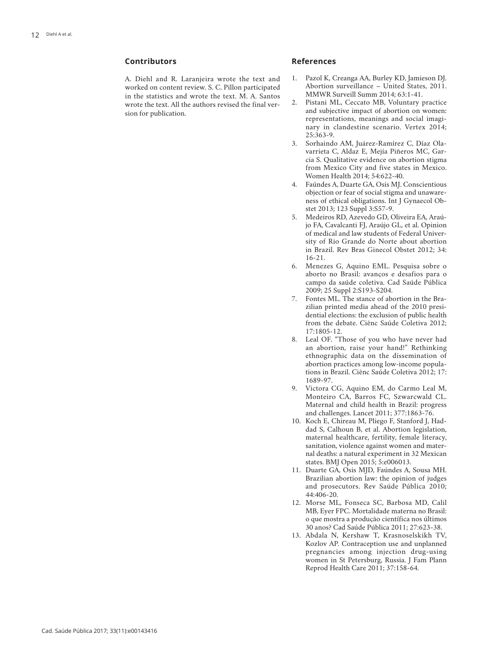# **Contributors**

A. Diehl and R. Laranjeira wrote the text and worked on content review. S. C. Pillon participated in the statistics and wrote the text. M. A. Santos wrote the text. All the authors revised the final version for publication.

### **References**

- 1. Pazol K, Creanga AA, Burley KD, Jamieson DJ. Abortion surveillance – United States, 2011. MMWR Surveill Summ 2014; 63:1-41.
- 2. Pistani ML, Ceccato MB, Voluntary practice and subjective impact of abortion on women: representations, meanings and social imaginary in clandestine scenario. Vertex 2014; 25:363-9.
- 3. Sorhaindo AM, Juárez-Ramírez C, Díaz Olavarrieta C, Aldaz E, Mejía Piñeros MC, Garcia S. Qualitative evidence on abortion stigma from Mexico City and five states in Mexico. Women Health 2014; 54:622-40.
- 4. Faúndes A, Duarte GA, Osis MJ. Conscientious objection or fear of social stigma and unawareness of ethical obligations. Int J Gynaecol Obstet 2013; 123 Suppl 3:S57-9.
- 5. Medeiros RD, Azevedo GD, Oliveira EA, Araújo FA, Cavalcanti FJ, Araújo GL, et al. Opinion of medical and law students of Federal University of Rio Grande do Norte about abortion in Brazil. Rev Bras Ginecol Obstet 2012; 34: 16-21.
- 6. Menezes G, Aquino EML. Pesquisa sobre o aborto no Brasil: avanços e desafios para o campo da saúde coletiva. Cad Saúde Pública 2009; 25 Suppl 2:S193-S204.
- 7. Fontes ML. The stance of abortion in the Brazilian printed media ahead of the 2010 presidential elections: the exclusion of public health from the debate. Ciênc Saúde Coletiva 2012; 17:1805-12.
- 8. Leal OF. "Those of you who have never had an abortion, raise your hand!" Rethinking ethnographic data on the dissemination of abortion practices among low-income populations in Brazil. Ciênc Saúde Coletiva 2012; 17: 1689-97.
- 9. Victora CG, Aquino EM, do Carmo Leal M, Monteiro CA, Barros FC, Szwarcwald CL. Maternal and child health in Brazil: progress and challenges. Lancet 2011; 377:1863-76.
- 10. Koch E, Chireau M, Pliego F, Stanford J, Haddad S, Calhoun B, et al. Abortion legislation, maternal healthcare, fertility, female literacy, sanitation, violence against women and maternal deaths: a natural experiment in 32 Mexican states. BMJ Open 2015; 5:e006013.
- 11. Duarte GA, Osis MJD, Faúndes A, Sousa MH. Brazilian abortion law: the opinion of judges and prosecutors. Rev Saúde Pública 2010; 44:406-20.
- 12. Morse ML, Fonseca SC, Barbosa MD, Calil MB, Eyer FPC. Mortalidade materna no Brasil: o que mostra a produção científica nos últimos 30 anos? Cad Saúde Pública 2011; 27:623-38.
- 13. Abdala N, Kershaw T, Krasnoselskikh TV, Kozlov AP. Contraception use and unplanned pregnancies among injection drug-using women in St Petersburg, Russia. J Fam Plann Reprod Health Care 2011; 37:158-64.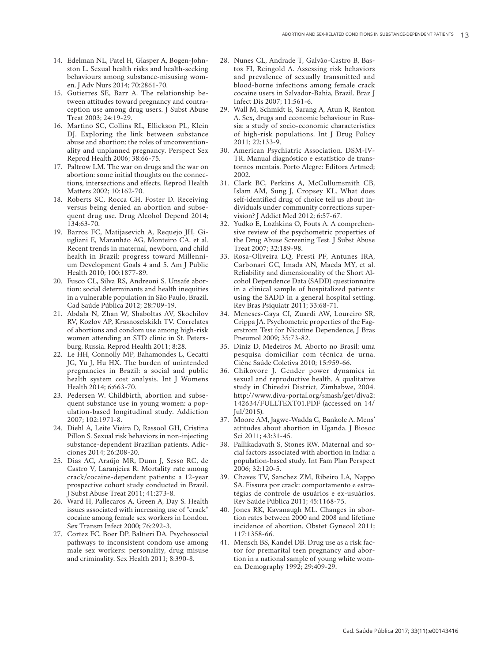- 14. Edelman NL, Patel H, Glasper A, Bogen-John ston L. Sexual health risks and health-seeking behaviours among substance-misusing wom en. J Adv Nurs 2014; 70:2861-70.
- 15. Gutierres SE, Barr A. The relationship be tween attitudes toward pregnancy and contra ception use among drug users. J Subst Abuse Treat 2003; 24:19-29.
- 16. Martino SC, Collins RL, Ellickson PL, Klein DJ. Exploring the link between substance abuse and abortion: the roles of unconvention ality and unplanned pregnancy. Perspect Sex Reprod Health 2006; 38:66-75.
- 17. Paltrow LM. The war on drugs and the war on abortion: some initial thoughts on the connec tions, intersections and effects. Reprod Health Matters 2002; 10:162-70.
- 18. Roberts SC, Rocca CH, Foster D. Receiving versus being denied an abortion and subse quent drug use. Drug Alcohol Depend 2014; 134:63-70.
- 19. Barros FC, Matijasevich A, Requejo JH, Gi ugliani E, Maranhão AG, Monteiro CA, et al. Recent trends in maternal, newborn, and child health in Brazil: progress toward Millenni um Development Goals 4 and 5. Am J Public Health 2010; 100:1877-89.
- 20. Fusco CL, Silva RS, Andreoni S. Unsafe abor tion: social determinants and health inequities in a vulnerable population in São Paulo, Brazil. Cad Saúde Pública 2012; 28:709-19.
- 21. Abdala N, Zhan W, Shaboltas AV, Skochilov RV, Kozlov AP, Krasnoselskikh TV. Correlates of abortions and condom use among high-risk women attending an STD clinic in St. Peters burg, Russia. Reprod Health 2011; 8:28.
- 22. Le HH, Connolly MP, Bahamondes L, Cecatti JG, Yu J, Hu HX. The burden of unintended pregnancies in Brazil: a social and public health system cost analysis. Int J Womens Health 2014; 6:663-70.
- 23. Pedersen W. Childbirth, abortion and subse quent substance use in young women: a pop ulation-based longitudinal study. Addiction 2007; 102:1971-8.
- 24. Diehl A, Leite Vieira D, Rassool GH, Cristina Pillon S. Sexual risk behaviors in non-injecting substance-dependent Brazilian patients. Adic ciones 2014; 26:208-20.
- 25. Dias AC, Araújo MR, Dunn J, Sesso RC, de Castro V, Laranjeira R. Mortality rate among crack/cocaine-dependent patients: a 12-year prospective cohort study conducted in Brazil. J Subst Abuse Treat 2011; 41:273-8.
- 26. Ward H, Pallecaros A, Green A, Day S. Health issues associated with increasing use of "crack" cocaine among female sex workers in London. Sex Transm Infect 2000; 76:292-3.
- 27. Cortez FC, Boer DP, Baltieri DA. Psychosocial pathways to inconsistent condom use among male sex workers: personality, drug misuse and criminality. Sex Health 2011; 8:390-8.
- 28. Nunes CL, Andrade T, Galvão-Castro B, Bas tos FI, Reingold A. Assessing risk behaviors and prevalence of sexually transmitted and blood-borne infections among female crack cocaine users in Salvador-Bahia, Brazil. Braz J Infect Dis 2007; 11:561-6.
- 29. Wall M, Schmidt E, Sarang A, Atun R, Renton A. Sex, drugs and economic behaviour in Rus sia: a study of socio-economic characteristics of high-risk populations. Int J Drug Policy 2011; 22:133-9.
- 30. American Psychiatric Association. DSM-IV-TR. Manual diagnóstico e estatístico de transtornos mentais. Porto Alegre: Editora Artmed; 2002.
- 31. Clark BC, Perkins A, McCullumsmith CB, Islam AM, Sung J, Cropsey KL. What does self-identified drug of choice tell us about in dividuals under community corrections super vision? J Addict Med 2012; 6:57-67.
- 32. Yudko E, Lozhkina O, Fouts A. A comprehen sive review of the psychometric properties of the Drug Abuse Screening Test. J Subst Abuse Treat 2007; 32:189-98.
- 33. Rosa-Oliveira LQ, Presti PF, Antunes IRA, Carbonari GC, Imada AN, Maeda MY, et al. Reliability and dimensionality of the Short Al cohol Dependence Data (SADD) questionnaire in a clinical sample of hospitalized patients: using the SADD in a general hospital setting. Rev Bras Psiquiatr 2011; 33:68-71.
- 34. Meneses-Gaya CI, Zuardi AW, Loureiro SR, Crippa JA. Psychometric properties of the Fag erstrom Test for Nicotine Dependence, J Bras Pneumol 2009; 35:73-82.
- 35. Diniz D, Medeiros M. Aborto no Brasil: uma pesquisa domiciliar com técnica de urna. Ciênc Saúde Coletiva 2010; 15:959-66.
- 36. Chikovore J. Gender power dynamics in sexual and reproductive health. A qualitative study in Chiredzi District, Zimbabwe, 2004. http://www.diva-portal.org/smash/get/diva2: 142634/FULLTEXT01.PDF (accessed on 14/ Jul/2015).
- 37. Moore AM, Jagwe-Wadda G, Bankole A. Mens' attitudes about abortion in Uganda. J Biosoc Sci 2011; 43:31-45.
- 38. Pallikadavath S, Stones RW. Maternal and so cial factors associated with abortion in India: a population-based study. Int Fam Plan Perspect 2006; 32:120-5.
- 39. Chaves TV, Sanchez ZM, Ribeiro LA, Nappo SA. Fissura por crack: comportamento e estra tégias de controle de usuários e ex-usuários. Rev Saúde Pública 2011; 45:1168-75.
- 40. Jones RK, Kavanaugh ML. Changes in abor tion rates between 2000 and 2008 and lifetime incidence of abortion. Obstet Gynecol 2011; 117:1358-66.
- 41. Mensch BS, Kandel DB. Drug use as a risk fac tor for premarital teen pregnancy and abor tion in a national sample of young white wom en. Demography 1992; 29:409-29.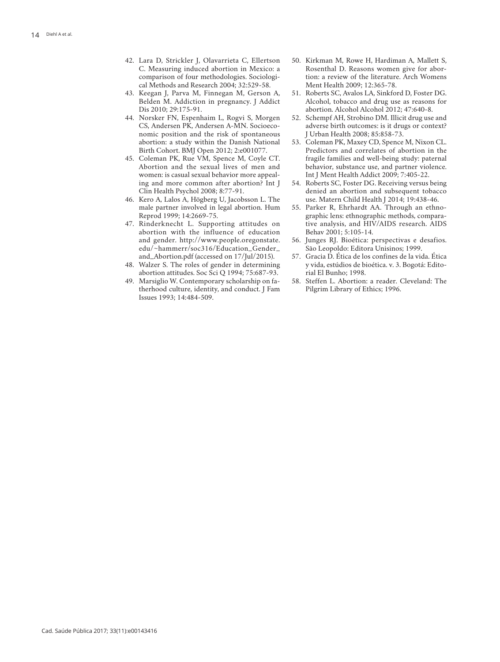- 42. Lara D, Strickler J, Olavarrieta C, Ellertson C. Measuring induced abortion in Mexico: a comparison of four methodologies. Sociologi cal Methods and Research 2004; 32:529-58.
- 43. Keegan J, Parva M, Finnegan M, Gerson A, Belden M. Addiction in pregnancy. J Addict Dis 2010; 29:175-91.
- 44. Norsker FN, Espenhaim L, Rogvi S, Morgen CS, Andersen PK, Andersen A-MN. Socioeco nomic position and the risk of spontaneous abortion: a study within the Danish National Birth Cohort. BMJ Open 2012; 2:e001077.
- 45. Coleman PK, Rue VM, Spence M, Coyle CT. Abortion and the sexual lives of men and women: is casual sexual behavior more appeal ing and more common after abortion? Int J Clin Health Psychol 2008; 8:77-91.
- 46. Kero A, Lalos A, Högberg U, Jacobsson L. The male partner involved in legal abortion. Hum Reprod 1999; 14:2669-75.
- 47. Rinderknecht L. Supporting attitudes on abortion with the influence of education and gender. http://www.people.oregonstate. edu/~hammerr/soc316/Education\_Gender\_ and\_Abortion.pdf (accessed on 17/Jul/2015).
- 48. Walzer S. The roles of gender in determining abortion attitudes. Soc Sci Q 1994; 75:687-93.
- 49. Marsiglio W. Contemporary scholarship on fa therhood culture, identity, and conduct. J Fam Issues 1993; 14:484-509.
- 50. Kirkman M, Rowe H, Hardiman A, Mallett S, Rosenthal D. Reasons women give for abor tion: a review of the literature. Arch Womens Ment Health 2009; 12:365-78.
- 51. Roberts SC, Avalos LA, Sinkford D, Foster DG. Alcohol, tobacco and drug use as reasons for abortion. Alcohol Alcohol 2012; 47:640-8.
- 52. Schempf AH, Strobino DM. Illicit drug use and adverse birth outcomes: is it drugs or context? J Urban Health 2008; 85:858-73.
- 53. Coleman PK, Maxey CD, Spence M, Nixon CL. Predictors and correlates of abortion in the fragile families and well-being study: paternal behavior, substance use, and partner violence. Int J Ment Health Addict 2009; 7:405-22.
- 54. Roberts SC, Foster DG. Receiving versus being denied an abortion and subsequent tobacco use. Matern Child Health J 2014; 19:438-46.
- 55. Parker R, Ehrhardt AA. Through an ethno graphic lens: ethnographic methods, compara tive analysis, and HIV/AIDS research. AIDS Behav 2001; 5:105-14.
- 56. Junges RJ. Bioética: perspectivas e desafios. São Leopoldo: Editora Unisinos; 1999.
- 57. Gracia D. Ética de los confines de la vida. Ética y vida, estúdios de bioética. v. 3. Bogotá: Edito rial El Bunho; 1998.
- 58. Steffen L. Abortion: a reader. Cleveland: The Pilgrim Library of Ethics; 1996.